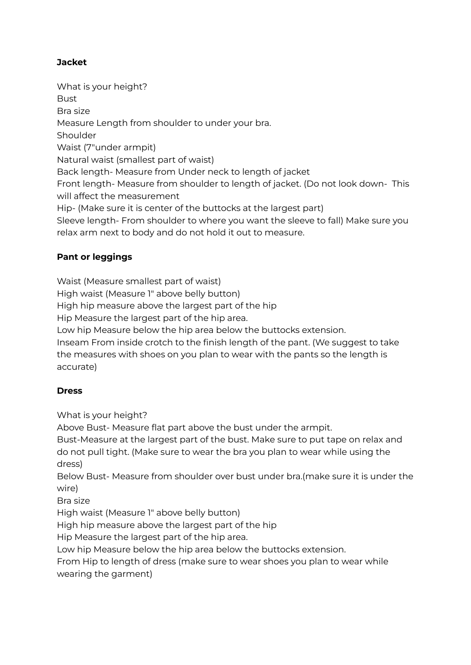## **Jacket**

What is your height? **Bust** Bra size Measure Length from shoulder to under your bra. Shoulder Waist (7"under armpit) Natural waist (smallest part of waist) Back length- Measure from Under neck to length of jacket Front length- Measure from shoulder to length of jacket. (Do not look down- This will affect the measurement Hip- (Make sure it is center of the buttocks at the largest part) Sleeve length- From shoulder to where you want the sleeve to fall) Make sure you relax arm next to body and do not hold it out to measure.

## **Pant or leggings**

Waist (Measure smallest part of waist)

High waist (Measure 1" above belly button)

High hip measure above the largest part of the hip

Hip Measure the largest part of the hip area.

Low hip Measure below the hip area below the buttocks extension.

Inseam From inside crotch to the finish length of the pant. (We suggest to take the measures with shoes on you plan to wear with the pants so the length is accurate)

## **Dress**

What is your height?

Above Bust- Measure flat part above the bust under the armpit.

Bust-Measure at the largest part of the bust. Make sure to put tape on relax and do not pull tight. (Make sure to wear the bra you plan to wear while using the dress)

Below Bust- Measure from shoulder over bust under bra.(make sure it is under the wire)

Bra size

High waist (Measure 1" above belly button)

High hip measure above the largest part of the hip

Hip Measure the largest part of the hip area.

Low hip Measure below the hip area below the buttocks extension.

From Hip to length of dress (make sure to wear shoes you plan to wear while wearing the garment)